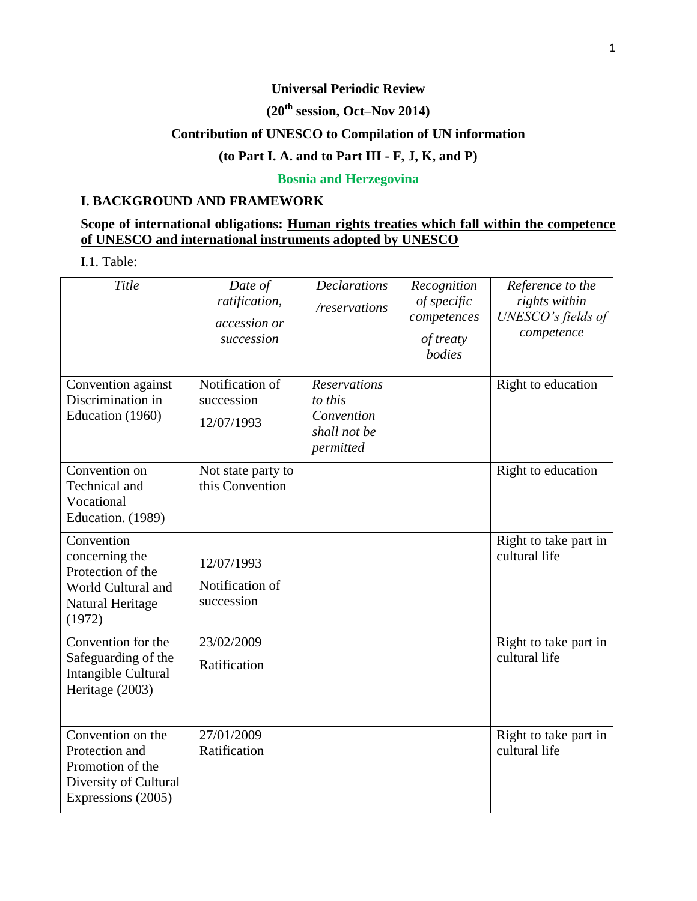### **Universal Periodic Review**

# **(20th session, Oct–Nov 2014)**

## **Contribution of UNESCO to Compilation of UN information**

## **(to Part I. A. and to Part III - F, J, K, and P)**

### **Bosnia and Herzegovina**

#### **I. BACKGROUND AND FRAMEWORK**

### **Scope of international obligations: Human rights treaties which fall within the competence of UNESCO and international instruments adopted by UNESCO**

I.1. Table:

| Title                                                                                                  | Date of<br>ratification,<br>accession or<br>succession | <b>Declarations</b><br>/reservations                                      | Recognition<br>of specific<br>competences<br>of treaty<br>bodies | Reference to the<br>rights within<br>UNESCO's fields of<br>competence |
|--------------------------------------------------------------------------------------------------------|--------------------------------------------------------|---------------------------------------------------------------------------|------------------------------------------------------------------|-----------------------------------------------------------------------|
| Convention against<br>Discrimination in<br>Education (1960)                                            | Notification of<br>succession<br>12/07/1993            | <b>Reservations</b><br>to this<br>Convention<br>shall not be<br>permitted |                                                                  | Right to education                                                    |
| Convention on<br>Technical and<br>Vocational<br>Education. (1989)                                      | Not state party to<br>this Convention                  |                                                                           |                                                                  | Right to education                                                    |
| Convention<br>concerning the<br>Protection of the<br>World Cultural and<br>Natural Heritage<br>(1972)  | 12/07/1993<br>Notification of<br>succession            |                                                                           |                                                                  | Right to take part in<br>cultural life                                |
| Convention for the<br>Safeguarding of the<br>Intangible Cultural<br>Heritage (2003)                    | 23/02/2009<br>Ratification                             |                                                                           |                                                                  | Right to take part in<br>cultural life                                |
| Convention on the<br>Protection and<br>Promotion of the<br>Diversity of Cultural<br>Expressions (2005) | 27/01/2009<br>Ratification                             |                                                                           |                                                                  | Right to take part in<br>cultural life                                |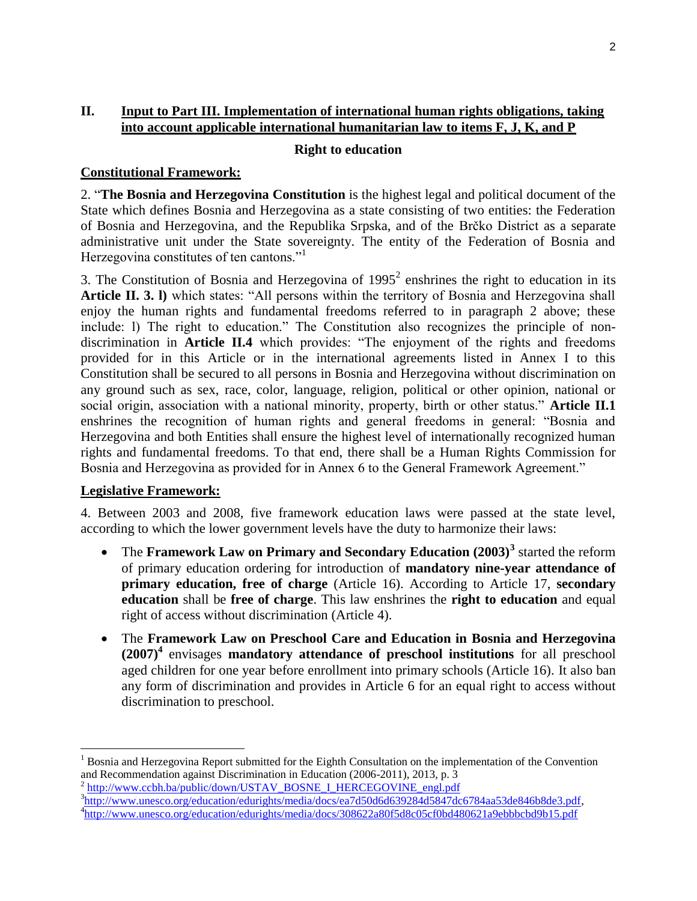### **II. Input to Part III. Implementation of international human rights obligations, taking into account applicable international humanitarian law to items F, J, K, and P**

#### **Right to education**

#### **Constitutional Framework:**

2. "**The Bosnia and Herzegovina Constitution** is the highest legal and political document of the State which defines Bosnia and Herzegovina as a state consisting of two entities: the Federation of Bosnia and Herzegovina, and the Republika Srpska, and of the Brčko District as a separate administrative unit under the State sovereignty. The entity of the Federation of Bosnia and Herzegovina constitutes of ten cantons."<sup>1</sup>

3. The Constitution of Bosnia and Herzegovina of  $1995<sup>2</sup>$  enshrines the right to education in its **Article II. 3. I)** which states: "All persons within the territory of Bosnia and Herzegovina shall enjoy the human rights and fundamental freedoms referred to in paragraph 2 above; these include: l) The right to education." The Constitution also recognizes the principle of nondiscrimination in **Article II.4** which provides: "The enjoyment of the rights and freedoms provided for in this Article or in the international agreements listed in Annex I to this Constitution shall be secured to all persons in Bosnia and Herzegovina without discrimination on any ground such as sex, race, color, language, religion, political or other opinion, national or social origin, association with a national minority, property, birth or other status." **Article II.1**  enshrines the recognition of human rights and general freedoms in general: "Bosnia and Herzegovina and both Entities shall ensure the highest level of internationally recognized human rights and fundamental freedoms. To that end, there shall be a Human Rights Commission for Bosnia and Herzegovina as provided for in Annex 6 to the General Framework Agreement."

#### **Legislative Framework:**

 $\overline{\phantom{a}}$ 

4. Between 2003 and 2008, five framework education laws were passed at the state level, according to which the lower government levels have the duty to harmonize their laws:

- The Framework Law on Primary and Secondary Education (2003)<sup>3</sup> started the reform of primary education ordering for introduction of **mandatory nine-year attendance of primary education, free of charge** (Article 16). According to Article 17, **secondary education** shall be **free of charge**. This law enshrines the **right to education** and equal right of access without discrimination (Article 4).
- The **Framework Law on Preschool Care and Education in Bosnia and Herzegovina (2007)<sup>4</sup>** envisages **mandatory attendance of preschool institutions** for all preschool aged children for one year before enrollment into primary schools (Article 16). It also ban any form of discrimination and provides in Article 6 for an equal right to access without discrimination to preschool.

<sup>2</sup> [http://www.ccbh.ba/public/down/USTAV\\_BOSNE\\_I\\_HERCEGOVINE\\_engl.pdf](http://www.ccbh.ba/public/down/USTAV_BOSNE_I_HERCEGOVINE_engl.pdf) <sup>3</sup>[http://www.unesco.org/education/edurights/media/docs/ea7d50d6d639284d5847dc6784aa53de846b8de3.pdf,](http://www.unesco.org/education/edurights/media/docs/ea7d50d6d639284d5847dc6784aa53de846b8de3.pdf)

<sup>1</sup> Bosnia and Herzegovina Report submitted for the Eighth Consultation on the implementation of the Convention and Recommendation against Discrimination in Education (2006-2011), 2013, p. 3

<sup>&</sup>lt;sup>4</sup><http://www.unesco.org/education/edurights/media/docs/308622a80f5d8c05cf0bd480621a9ebbbcbd9b15.pdf>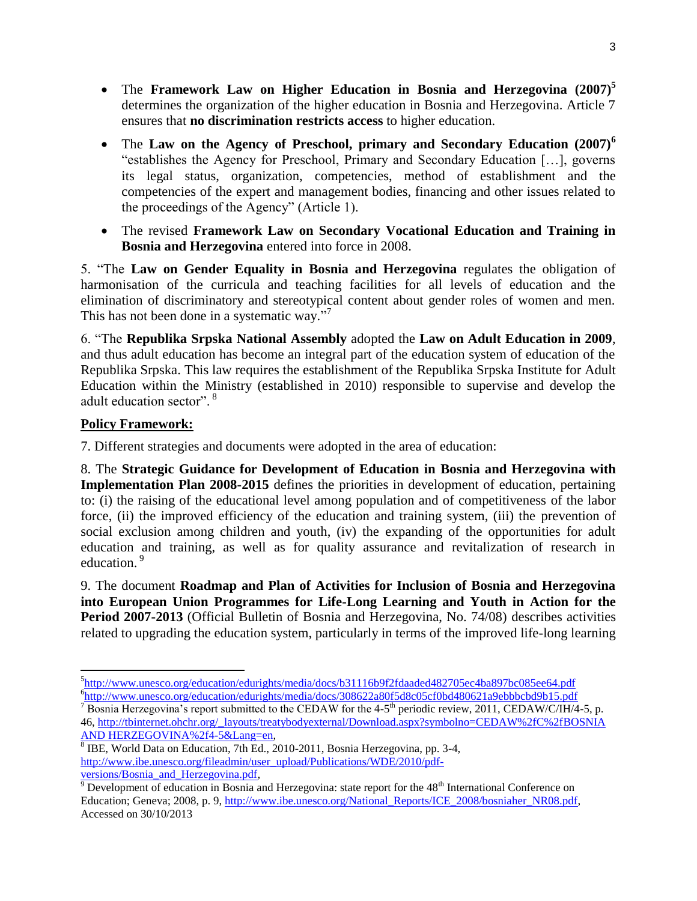- The **Framework Law on Higher Education in Bosnia and Herzegovina (2007)<sup>5</sup>** determines the organization of the higher education in Bosnia and Herzegovina. Article 7 ensures that **no discrimination restricts access** to higher education.
- The **Law on the Agency of Preschool, primary and Secondary Education (2007)<sup>6</sup>** "establishes the Agency for Preschool, Primary and Secondary Education […], governs its legal status, organization, competencies, method of establishment and the competencies of the expert and management bodies, financing and other issues related to the proceedings of the Agency" (Article 1).
- The revised **Framework Law on Secondary Vocational Education and Training in Bosnia and Herzegovina** entered into force in 2008.

5. "The **Law on Gender Equality in Bosnia and Herzegovina** regulates the obligation of harmonisation of the curricula and teaching facilities for all levels of education and the elimination of discriminatory and stereotypical content about gender roles of women and men. This has not been done in a systematic way."7

6. "The **Republika Srpska National Assembly** adopted the **Law on Adult Education in 2009**, and thus adult education has become an integral part of the education system of education of the Republika Srpska. This law requires the establishment of the Republika Srpska Institute for Adult Education within the Ministry (established in 2010) responsible to supervise and develop the adult education sector". <sup>8</sup>

### **Policy Framework:**

7. Different strategies and documents were adopted in the area of education:

8. The **Strategic Guidance for Development of Education in Bosnia and Herzegovina with Implementation Plan 2008-2015** defines the priorities in development of education, pertaining to: (i) the raising of the educational level among population and of competitiveness of the labor force, (ii) the improved efficiency of the education and training system, (iii) the prevention of social exclusion among children and youth, (iv) the expanding of the opportunities for adult education and training, as well as for quality assurance and revitalization of research in education.<sup>9</sup>

9. The document **Roadmap and Plan of Activities for Inclusion of Bosnia and Herzegovina into European Union Programmes for Life-Long Learning and Youth in Action for the Period 2007-2013** (Official Bulletin of Bosnia and Herzegovina, No. 74/08) describes activities related to upgrading the education system, particularly in terms of the improved life-long learning

 $\overline{\phantom{a}}$ 5 <http://www.unesco.org/education/edurights/media/docs/b31116b9f2fdaaded482705ec4ba897bc085ee64.pdf> <sup>6</sup><http://www.unesco.org/education/edurights/media/docs/308622a80f5d8c05cf0bd480621a9ebbbcbd9b15.pdf>

<sup>&</sup>lt;sup>7</sup> Bosnia Herzegovina's report submitted to the CEDAW for the 4-5<sup>th</sup> periodic review, 2011, CEDAW/C/IH/4-5, p. 46, [http://tbinternet.ohchr.org/\\_layouts/treatybodyexternal/Download.aspx?symbolno=CEDAW%2fC%2fBOSNIA](http://tbinternet.ohchr.org/_layouts/treatybodyexternal/Download.aspx?symbolno=CEDAW%2fC%2fBIH%2f4-5&Lang=en)  [AND HERZEGOVINA%2f4-5&Lang=en,](http://tbinternet.ohchr.org/_layouts/treatybodyexternal/Download.aspx?symbolno=CEDAW%2fC%2fBIH%2f4-5&Lang=en)

<sup>&</sup>lt;sup>8</sup> IBE, World Data on Education, 7th Ed., 2010-2011, Bosnia Herzegovina, pp. 3-4, [http://www.ibe.unesco.org/fileadmin/user\\_upload/Publications/WDE/2010/pdf](http://www.ibe.unesco.org/fileadmin/user_upload/Publications/WDE/2010/pdf-versions/Bosnia_and_Herzegovina.pdf)[versions/Bosnia\\_and\\_Herzegovina.pdf,](http://www.ibe.unesco.org/fileadmin/user_upload/Publications/WDE/2010/pdf-versions/Bosnia_and_Herzegovina.pdf)

 $\frac{9}{9}$  Development of education in Bosnia and Herzegovina: state report for the 48<sup>th</sup> International Conference on Education; Geneva; 2008, p. 9, [http://www.ibe.unesco.org/National\\_Reports/ICE\\_2008/bosniaher\\_NR08.pdf,](http://www.ibe.unesco.org/National_Reports/ICE_2008/bosniaher_NR08.pdf) Accessed on 30/10/2013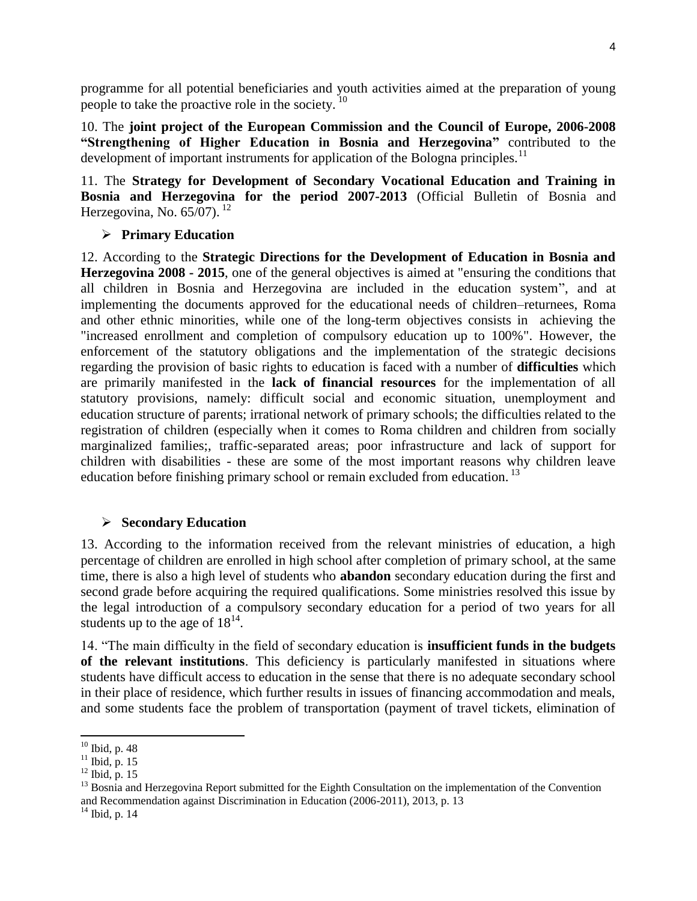programme for all potential beneficiaries and youth activities aimed at the preparation of young people to take the proactive role in the society.<sup>10</sup>

10. The **joint project of the European Commission and the Council of Europe, 2006-2008 "Strengthening of Higher Education in Bosnia and Herzegovina"** contributed to the development of important instruments for application of the Bologna principles.<sup>11</sup>

11. The **Strategy for Development of Secondary Vocational Education and Training in Bosnia and Herzegovina for the period 2007-2013** (Official Bulletin of Bosnia and Herzegovina, No.  $65/07$ ). <sup>12</sup>

### **Primary Education**

12. According to the **Strategic Directions for the Development of Education in Bosnia and Herzegovina 2008 - 2015**, one of the general objectives is aimed at "ensuring the conditions that all children in Bosnia and Herzegovina are included in the education system", and at implementing the documents approved for the educational needs of children–returnees, Roma and other ethnic minorities, while one of the long-term objectives consists in achieving the "increased enrollment and completion of compulsory education up to 100%". However, the enforcement of the statutory obligations and the implementation of the strategic decisions regarding the provision of basic rights to education is faced with a number of **difficulties** which are primarily manifested in the **lack of financial resources** for the implementation of all statutory provisions, namely: difficult social and economic situation, unemployment and education structure of parents; irrational network of primary schools; the difficulties related to the registration of children (especially when it comes to Roma children and children from socially marginalized families;, traffic-separated areas; poor infrastructure and lack of support for children with disabilities - these are some of the most important reasons why children leave education before finishing primary school or remain excluded from education.  $^{13}$ 

#### **Secondary Education**

13. According to the information received from the relevant ministries of education, a high percentage of children are enrolled in high school after completion of primary school, at the same time, there is also a high level of students who **abandon** secondary education during the first and second grade before acquiring the required qualifications. Some ministries resolved this issue by the legal introduction of a compulsory secondary education for a period of two years for all students up to the age of  $18^{14}$ .

14. "The main difficulty in the field of secondary education is **insufficient funds in the budgets of the relevant institutions**. This deficiency is particularly manifested in situations where students have difficult access to education in the sense that there is no adequate secondary school in their place of residence, which further results in issues of financing accommodation and meals, and some students face the problem of transportation (payment of travel tickets, elimination of

l

 $10$  Ibid, p. 48

 $11$  Ibid, p. 15

 $12$  Ibid, p. 15

<sup>&</sup>lt;sup>13</sup> Bosnia and Herzegovina Report submitted for the Eighth Consultation on the implementation of the Convention and Recommendation against Discrimination in Education (2006-2011), 2013, p. 13

<sup>&</sup>lt;sup>14</sup> Ibid, p. 14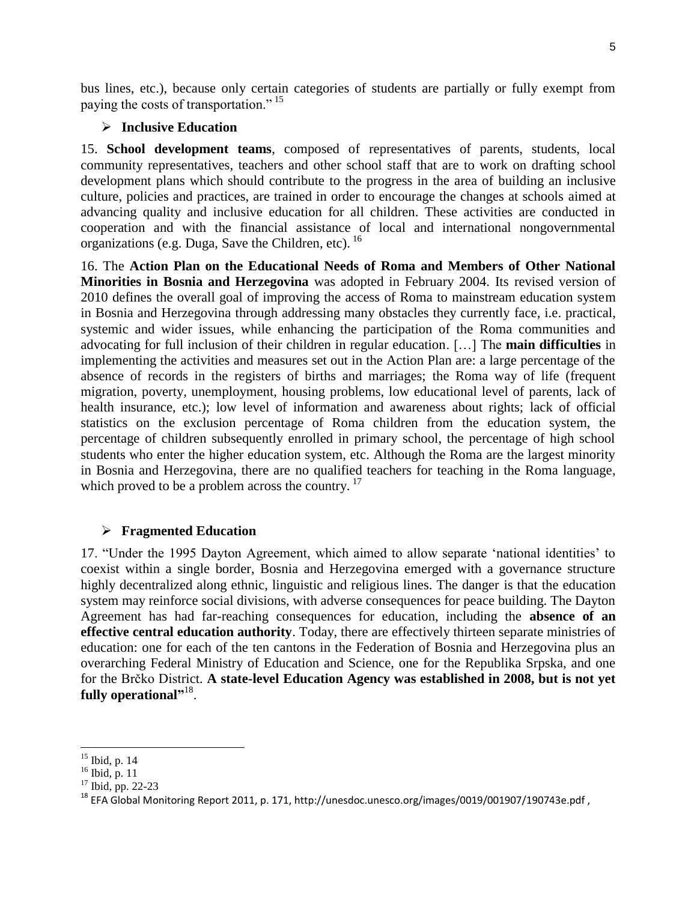bus lines, etc.), because only certain categories of students are partially or fully exempt from paying the costs of transportation." <sup>15</sup>

#### **Inclusive Education**

15. **School development teams**, composed of representatives of parents, students, local community representatives, teachers and other school staff that are to work on drafting school development plans which should contribute to the progress in the area of building an inclusive culture, policies and practices, are trained in order to encourage the changes at schools aimed at advancing quality and inclusive education for all children. These activities are conducted in cooperation and with the financial assistance of local and international nongovernmental organizations (e.g. Duga, Save the Children, etc). <sup>16</sup>

16. The **Action Plan on the Educational Needs of Roma and Members of Other National Minorities in Bosnia and Herzegovina** was adopted in February 2004. Its revised version of 2010 defines the overall goal of improving the access of Roma to mainstream education system in Bosnia and Herzegovina through addressing many obstacles they currently face, i.e. practical, systemic and wider issues, while enhancing the participation of the Roma communities and advocating for full inclusion of their children in regular education. […] The **main difficulties** in implementing the activities and measures set out in the Action Plan are: a large percentage of the absence of records in the registers of births and marriages; the Roma way of life (frequent migration, poverty, unemployment, housing problems, low educational level of parents, lack of health insurance, etc.); low level of information and awareness about rights; lack of official statistics on the exclusion percentage of Roma children from the education system, the percentage of children subsequently enrolled in primary school, the percentage of high school students who enter the higher education system, etc. Although the Roma are the largest minority in Bosnia and Herzegovina, there are no qualified teachers for teaching in the Roma language, which proved to be a problem across the country.  $17$ 

#### **Fragmented Education**

17. "Under the 1995 Dayton Agreement, which aimed to allow separate 'national identities' to coexist within a single border, Bosnia and Herzegovina emerged with a governance structure highly decentralized along ethnic, linguistic and religious lines. The danger is that the education system may reinforce social divisions, with adverse consequences for peace building. The Dayton Agreement has had far-reaching consequences for education, including the **absence of an effective central education authority**. Today, there are effectively thirteen separate ministries of education: one for each of the ten cantons in the Federation of Bosnia and Herzegovina plus an overarching Federal Ministry of Education and Science, one for the Republika Srpska, and one for the Brčko District. **A state-level Education Agency was established in 2008, but is not yet**  fully operational"<sup>,18</sup>.

l

<sup>15</sup> Ibid, p. 14

 $16$  Ibid, p. 11

<sup>&</sup>lt;sup>17</sup> Ibid, pp. 22-23

<sup>18</sup> EFA Global Monitoring Report 2011, p. 171, http://unesdoc.unesco.org/images/0019/001907/190743e.pdf ,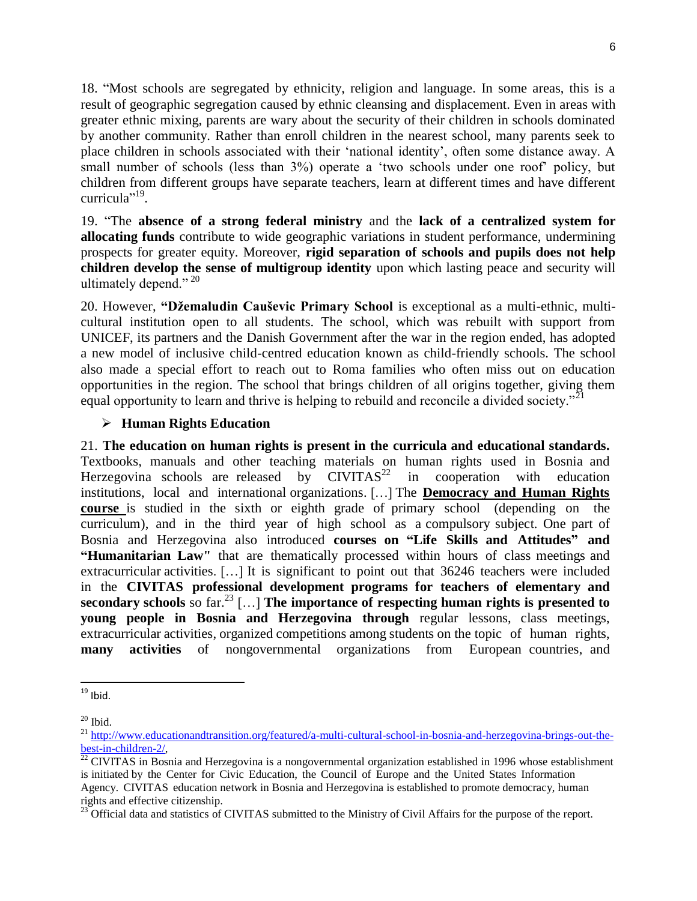18. "Most schools are segregated by ethnicity, religion and language. In some areas, this is a result of geographic segregation caused by ethnic cleansing and displacement. Even in areas with greater ethnic mixing, parents are wary about the security of their children in schools dominated by another community. Rather than enroll children in the nearest school, many parents seek to place children in schools associated with their 'national identity', often some distance away. A small number of schools (less than 3%) operate a 'two schools under one roof' policy, but children from different groups have separate teachers, learn at different times and have different curricula"<sup>19</sup>.

19. "The **absence of a strong federal ministry** and the **lack of a centralized system for allocating funds** contribute to wide geographic variations in student performance, undermining prospects for greater equity. Moreover, **rigid separation of schools and pupils does not help children develop the sense of multigroup identity** upon which lasting peace and security will ultimately depend." $^{20}$ 

20. However, **"Džemaludin Cauševic Primary School** is exceptional as a multi-ethnic, multicultural institution open to all students. The school, which was rebuilt with support from UNICEF, its partners and the Danish Government after the war in the region ended, has adopted a new model of inclusive child-centred education known as child-friendly schools. The school also made a special effort to reach out to Roma families who often miss out on education opportunities in the region. The school that brings children of all origins together, giving them equal opportunity to learn and thrive is helping to rebuild and reconcile a divided society."<sup>21</sup>

### **Human Rights Education**

21. **The education on human rights is present in the curricula and educational standards.**  Textbooks, manuals and other teaching materials on human rights used in Bosnia and Herzegovina schools are released by  $CIVITAS<sup>22</sup>$  in cooperation with education institutions, local and international organizations. […] The **Democracy and Human Rights course** is studied in the sixth or eighth grade of primary school (depending on the curriculum), and in the third year of high school as a compulsory subject. One part of Bosnia and Herzegovina also introduced **courses on "Life Skills and Attitudes" and "Humanitarian Law"** that are thematically processed within hours of class meetings and extracurricular activities. […] It is significant to point out that 36246 teachers were included in the **CIVITAS professional development programs for teachers of elementary and secondary schools** so far. <sup>23</sup> […] **The importance of respecting human rights is presented to young people in Bosnia and Herzegovina through** regular lessons, class meetings, extracurricular activities, organized competitions among students on the topic of human rights, **many activities** of nongovernmental organizations from European countries, and

 $\overline{\phantom{a}}$ 

 $19$  Ibid.

 $20$  Ibid.

<sup>&</sup>lt;sup>21</sup> [http://www.educationandtransition.org/featured/a-multi-cultural-school-in-bosnia-and-herzegovina-brings-out-the](http://www.educationandtransition.org/featured/a-multi-cultural-school-in-bosnia-and-herzegovina-brings-out-the-best-in-children-2/)[best-in-children-2/,](http://www.educationandtransition.org/featured/a-multi-cultural-school-in-bosnia-and-herzegovina-brings-out-the-best-in-children-2/) 

 $^{22}$  CIVITAS in Bosnia and Herzegovina is a nongovernmental organization established in 1996 whose establishment is initiated by the Center for Civic Education, the Council of Europe and the United States Information Agency. CIVITAS education network in Bosnia and Herzegovina is established to promote democracy, human rights and effective citizenship.

<sup>&</sup>lt;sup>23</sup> Official data and statistics of CIVITAS submitted to the Ministry of Civil Affairs for the purpose of the report.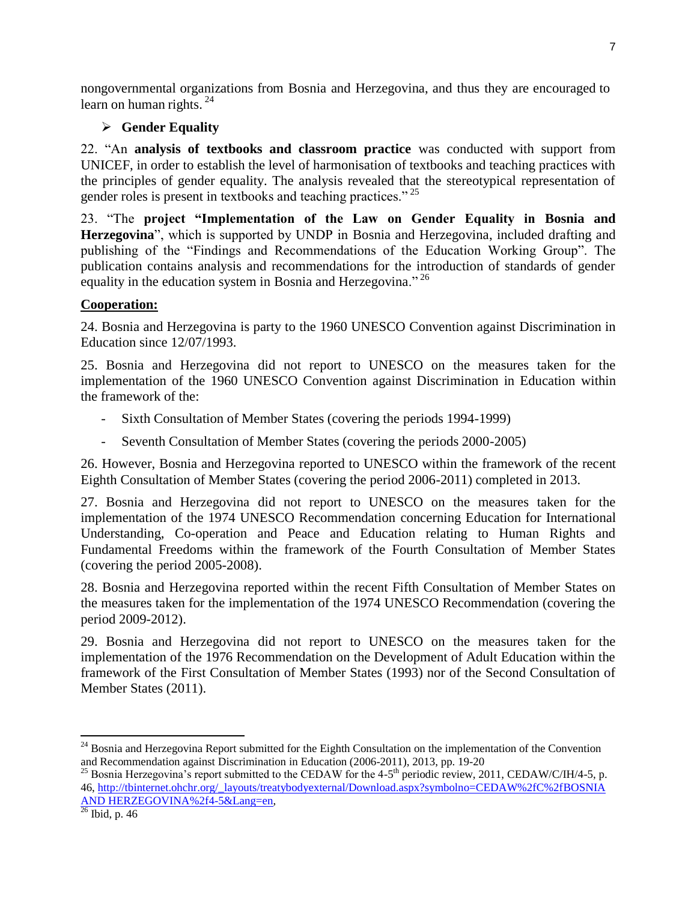nongovernmental organizations from Bosnia and Herzegovina, and thus they are encouraged to learn on human rights.<sup>24</sup>

## **Gender Equality**

22. "An **analysis of textbooks and classroom practice** was conducted with support from UNICEF, in order to establish the level of harmonisation of textbooks and teaching practices with the principles of gender equality. The analysis revealed that the stereotypical representation of gender roles is present in textbooks and teaching practices." <sup>25</sup>

23. "The **project "Implementation of the Law on Gender Equality in Bosnia and Herzegovina**", which is supported by UNDP in Bosnia and Herzegovina, included drafting and publishing of the "Findings and Recommendations of the Education Working Group". The publication contains analysis and recommendations for the introduction of standards of gender equality in the education system in Bosnia and Herzegovina."<sup>26</sup>

## **Cooperation:**

24. Bosnia and Herzegovina is party to the 1960 UNESCO Convention against Discrimination in Education since 12/07/1993.

25. Bosnia and Herzegovina did not report to UNESCO on the measures taken for the implementation of the 1960 UNESCO Convention against Discrimination in Education within the framework of the:

- Sixth Consultation of Member States (covering the periods 1994-1999)
- Seventh Consultation of Member States (covering the periods 2000-2005)

26. However, Bosnia and Herzegovina reported to UNESCO within the framework of the recent Eighth Consultation of Member States (covering the period 2006-2011) completed in 2013.

27. Bosnia and Herzegovina did not report to UNESCO on the measures taken for the implementation of the 1974 UNESCO Recommendation concerning Education for International Understanding, Co-operation and Peace and Education relating to Human Rights and Fundamental Freedoms within the framework of the Fourth Consultation of Member States (covering the period 2005-2008).

28. Bosnia and Herzegovina reported within the recent Fifth Consultation of Member States on the measures taken for the implementation of the 1974 UNESCO Recommendation (covering the period 2009-2012).

29. Bosnia and Herzegovina did not report to UNESCO on the measures taken for the implementation of the 1976 Recommendation on the Development of Adult Education within the framework of the First Consultation of Member States (1993) nor of the Second Consultation of Member States (2011).

l

<sup>&</sup>lt;sup>24</sup> Bosnia and Herzegovina Report submitted for the Eighth Consultation on the implementation of the Convention and Recommendation against Discrimination in Education (2006-2011), 2013, pp. 19-20

<sup>&</sup>lt;sup>25</sup> Bosnia Herzegovina's report submitted to the CEDAW for the 4-5<sup>th</sup> periodic review, 2011, CEDAW/C/IH/4-5, p. 46, [http://tbinternet.ohchr.org/\\_layouts/treatybodyexternal/Download.aspx?symbolno=CEDAW%2fC%2fBOSNIA](http://tbinternet.ohchr.org/_layouts/treatybodyexternal/Download.aspx?symbolno=CEDAW%2fC%2fBIH%2f4-5&Lang=en)  [AND HERZEGOVINA%2f4-5&Lang=en,](http://tbinternet.ohchr.org/_layouts/treatybodyexternal/Download.aspx?symbolno=CEDAW%2fC%2fBIH%2f4-5&Lang=en)

 $26$  Ibid, p. 46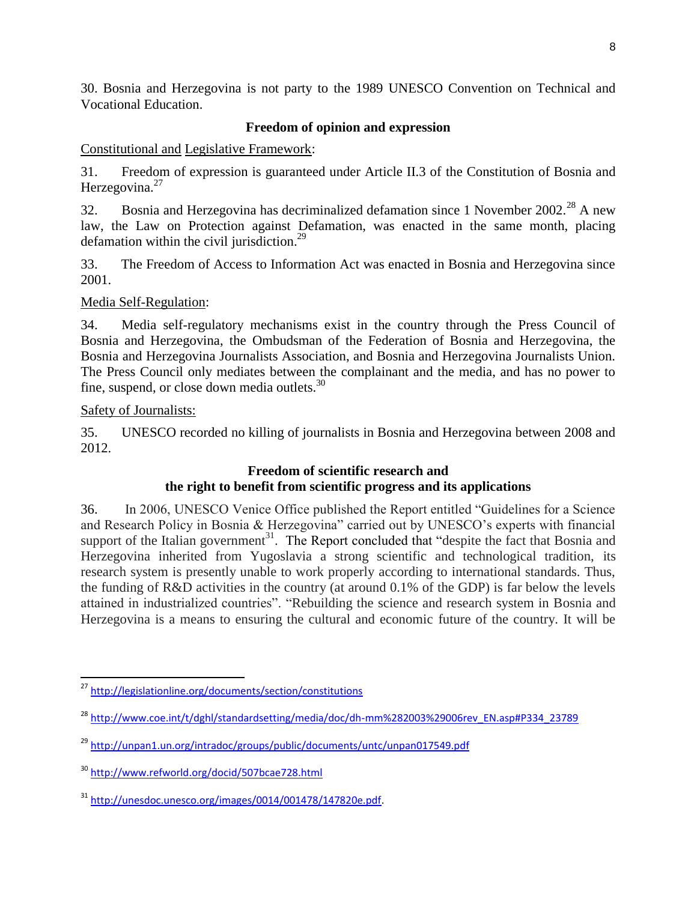30. Bosnia and Herzegovina is not party to the 1989 UNESCO Convention on Technical and Vocational Education.

## **Freedom of opinion and expression**

Constitutional and Legislative Framework:

31. Freedom of expression is guaranteed under Article II.3 of the Constitution of Bosnia and Herzegovina. $27$ 

32. Bosnia and Herzegovina has decriminalized defamation since 1 November  $2002<sup>28</sup>$  A new law, the Law on Protection against Defamation, was enacted in the same month, placing defamation within the civil jurisdiction.<sup>29</sup>

33. The Freedom of Access to Information Act was enacted in Bosnia and Herzegovina since 2001.

Media Self-Regulation:

34. Media self-regulatory mechanisms exist in the country through the Press Council of Bosnia and Herzegovina, the Ombudsman of the Federation of Bosnia and Herzegovina, the Bosnia and Herzegovina Journalists Association, and Bosnia and Herzegovina Journalists Union. The Press Council only mediates between the complainant and the media, and has no power to fine, suspend, or close down media outlets. $30$ 

Safety of Journalists:

35. UNESCO recorded no killing of journalists in Bosnia and Herzegovina between 2008 and 2012.

## **Freedom of scientific research and the right to benefit from scientific progress and its applications**

36. In 2006, UNESCO Venice Office published the Report entitled "Guidelines for a Science and Research Policy in Bosnia & Herzegovina" carried out by UNESCO's experts with financial support of the Italian government<sup>31</sup>. The Report concluded that "despite the fact that Bosnia and Herzegovina inherited from Yugoslavia a strong scientific and technological tradition, its research system is presently unable to work properly according to international standards. Thus, the funding of R&D activities in the country (at around 0.1% of the GDP) is far below the levels attained in industrialized countries". "Rebuilding the science and research system in Bosnia and Herzegovina is a means to ensuring the cultural and economic future of the country. It will be

 $\overline{\phantom{a}}$ <sup>27</sup> <http://legislationline.org/documents/section/constitutions>

<sup>28</sup> [http://www.coe.int/t/dghl/standardsetting/media/doc/dh-mm%282003%29006rev\\_EN.asp#P334\\_23789](http://www.coe.int/t/dghl/standardsetting/media/doc/dh-mm%282003%29006rev_EN.asp#P334_23789)

<sup>29</sup> <http://unpan1.un.org/intradoc/groups/public/documents/untc/unpan017549.pdf>

<sup>30</sup> <http://www.refworld.org/docid/507bcae728.html>

<sup>31</sup> [http://unesdoc.unesco.org/images/0014/001478/147820e.pdf.](http://unesdoc.unesco.org/images/0014/001478/147820e.pdf)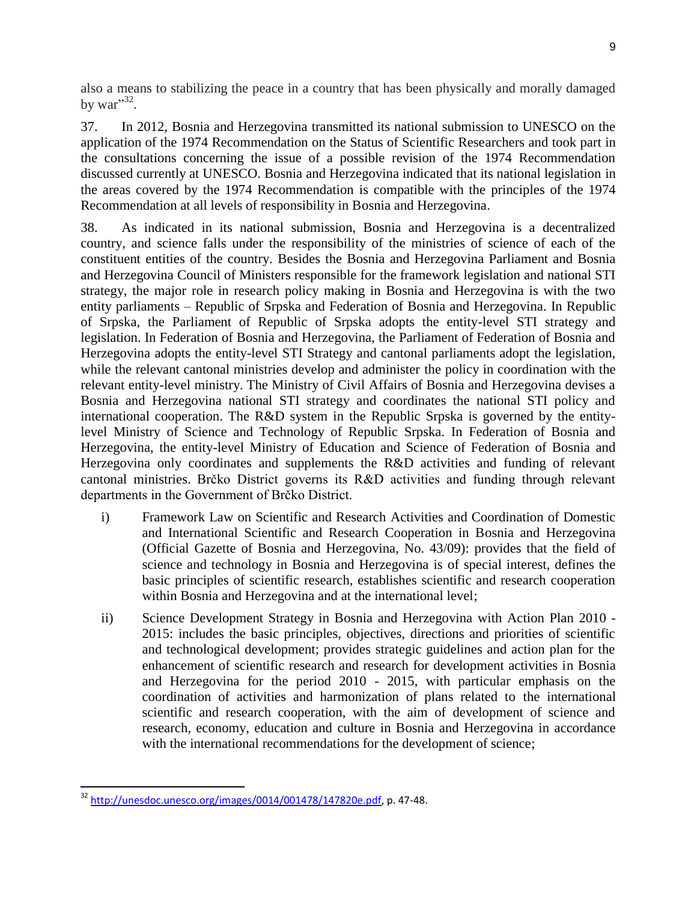also a means to stabilizing the peace in a country that has been physically and morally damaged by war" $32$ .

37. In 2012, Bosnia and Herzegovina transmitted its national submission to UNESCO on the application of the 1974 Recommendation on the Status of Scientific Researchers and took part in the consultations concerning the issue of a possible revision of the 1974 Recommendation discussed currently at UNESCO. Bosnia and Herzegovina indicated that its national legislation in the areas covered by the 1974 Recommendation is compatible with the principles of the 1974 Recommendation at all levels of responsibility in Bosnia and Herzegovina.

38. As indicated in its national submission, Bosnia and Herzegovina is a decentralized country, and science falls under the responsibility of the ministries of science of each of the constituent entities of the country. Besides the Bosnia and Herzegovina Parliament and Bosnia and Herzegovina Council of Ministers responsible for the framework legislation and national STI strategy, the major role in research policy making in Bosnia and Herzegovina is with the two entity parliaments – Republic of Srpska and Federation of Bosnia and Herzegovina. In Republic of Srpska, the Parliament of Republic of Srpska adopts the entity-level STI strategy and legislation. In Federation of Bosnia and Herzegovina, the Parliament of Federation of Bosnia and Herzegovina adopts the entity-level STI Strategy and cantonal parliaments adopt the legislation, while the relevant cantonal ministries develop and administer the policy in coordination with the relevant entity-level ministry. The Ministry of Civil Affairs of Bosnia and Herzegovina devises a Bosnia and Herzegovina national STI strategy and coordinates the national STI policy and international cooperation. The R&D system in the Republic Srpska is governed by the entitylevel Ministry of Science and Technology of Republic Srpska. In Federation of Bosnia and Herzegovina, the entity-level Ministry of Education and Science of Federation of Bosnia and Herzegovina only coordinates and supplements the R&D activities and funding of relevant cantonal ministries. Brčko District governs its R&D activities and funding through relevant departments in the Government of Brčko District.

- i) Framework Law on Scientific and Research Activities and Coordination of Domestic and International Scientific and Research Cooperation in Bosnia and Herzegovina (Official Gazette of Bosnia and Herzegovina, No. 43/09): provides that the field of science and technology in Bosnia and Herzegovina is of special interest, defines the basic principles of scientific research, establishes scientific and research cooperation within Bosnia and Herzegovina and at the international level;
- ii) Science Development Strategy in Bosnia and Herzegovina with Action Plan 2010 2015: includes the basic principles, objectives, directions and priorities of scientific and technological development; provides strategic guidelines and action plan for the enhancement of scientific research and research for development activities in Bosnia and Herzegovina for the period 2010 - 2015, with particular emphasis on the coordination of activities and harmonization of plans related to the international scientific and research cooperation, with the aim of development of science and research, economy, education and culture in Bosnia and Herzegovina in accordance with the international recommendations for the development of science;

l <sup>32</sup> [http://unesdoc.unesco.org/images/0014/001478/147820e.pdf,](http://unesdoc.unesco.org/images/0014/001478/147820e.pdf) p. 47-48.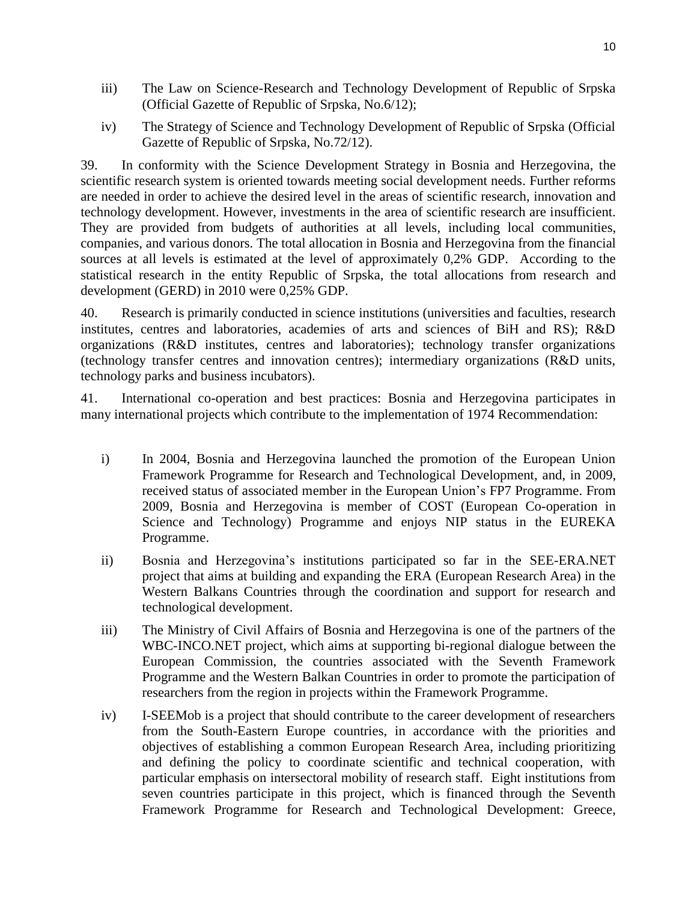- iii) The Law on Science-Research and Technology Development of Republic of Srpska (Official Gazette of Republic of Srpska, No.6/12);
- iv) The Strategy of Science and Technology Development of Republic of Srpska (Official Gazette of Republic of Srpska, No.72/12).

39. In conformity with the Science Development Strategy in Bosnia and Herzegovina, the scientific research system is oriented towards meeting social development needs. Further reforms are needed in order to achieve the desired level in the areas of scientific research, innovation and technology development. However, investments in the area of scientific research are insufficient. They are provided from budgets of authorities at all levels, including local communities, companies, and various donors. The total allocation in Bosnia and Herzegovina from the financial sources at all levels is estimated at the level of approximately 0,2% GDP. According to the statistical research in the entity Republic of Srpska, the total allocations from research and development (GERD) in 2010 were 0,25% GDP.

40. Research is primarily conducted in science institutions (universities and faculties, research institutes, centres and laboratories, academies of arts and sciences of BiH and RS); R&D organizations (R&D institutes, centres and laboratories); technology transfer organizations (technology transfer centres and innovation centres); intermediary organizations (R&D units, technology parks and business incubators).

41. International co-operation and best practices: Bosnia and Herzegovina participates in many international projects which contribute to the implementation of 1974 Recommendation:

- i) In 2004, Bosnia and Herzegovina launched the promotion of the European Union Framework Programme for Research and Technological Development, and, in 2009, received status of associated member in the European Union's FP7 Programme. From 2009, Bosnia and Herzegovina is member of COST (European Co-operation in Science and Technology) Programme and enjoys NIP status in the EUREKA Programme.
- ii) Bosnia and Herzegovina's institutions participated so far in the SEE-ERA.NET project that aims at building and expanding the ERA (European Research Area) in the Western Balkans Countries through the coordination and support for research and technological development.
- iii) The Ministry of Civil Affairs of Bosnia and Herzegovina is one of the partners of the WBC-INCO.NET project, which aims at supporting bi-regional dialogue between the European Commission, the countries associated with the Seventh Framework Programme and the Western Balkan Countries in order to promote the participation of researchers from the region in projects within the Framework Programme.
- iv) I-SEEMob is a project that should contribute to the career development of researchers from the South-Eastern Europe countries, in accordance with the priorities and objectives of establishing a common European Research Area, including prioritizing and defining the policy to coordinate scientific and technical cooperation, with particular emphasis on intersectoral mobility of research staff. Eight institutions from seven countries participate in this project, which is financed through the Seventh Framework Programme for Research and Technological Development: Greece,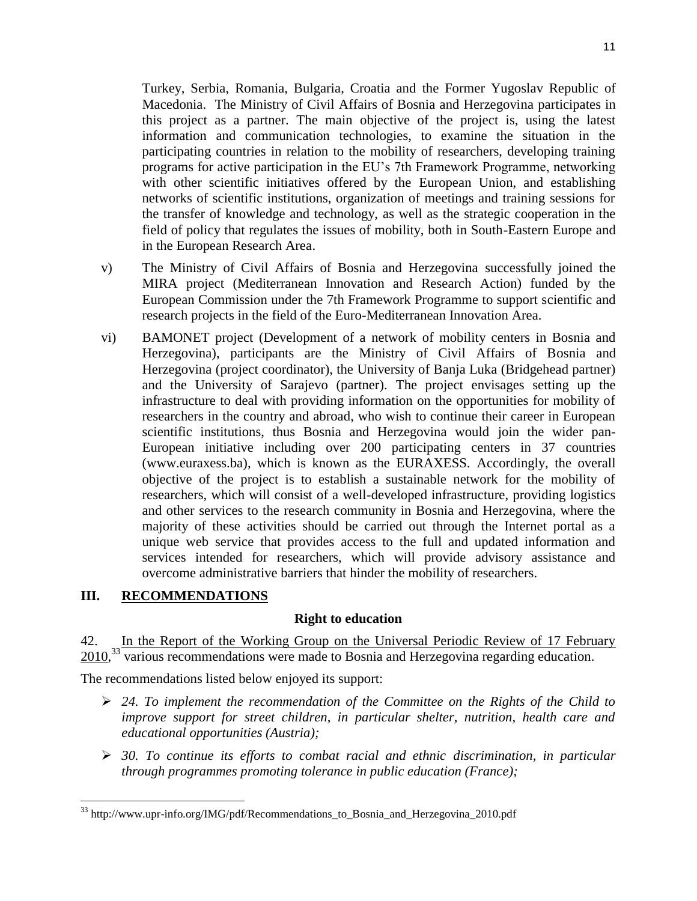Turkey, Serbia, Romania, Bulgaria, Croatia and the Former Yugoslav Republic of Macedonia. The Ministry of Civil Affairs of Bosnia and Herzegovina participates in this project as a partner. The main objective of the project is, using the latest information and communication technologies, to examine the situation in the participating countries in relation to the mobility of researchers, developing training programs for active participation in the EU's 7th Framework Programme, networking with other scientific initiatives offered by the European Union, and establishing networks of scientific institutions, organization of meetings and training sessions for the transfer of knowledge and technology, as well as the strategic cooperation in the field of policy that regulates the issues of mobility, both in South-Eastern Europe and in the European Research Area.

- v) The Ministry of Civil Affairs of Bosnia and Herzegovina successfully joined the MIRA project (Mediterranean Innovation and Research Action) funded by the European Commission under the 7th Framework Programme to support scientific and research projects in the field of the Euro-Mediterranean Innovation Area.
- vi) BAMONET project (Development of a network of mobility centers in Bosnia and Herzegovina), participants are the Ministry of Civil Affairs of Bosnia and Herzegovina (project coordinator), the University of Banja Luka (Bridgehead partner) and the University of Sarajevo (partner). The project envisages setting up the infrastructure to deal with providing information on the opportunities for mobility of researchers in the country and abroad, who wish to continue their career in European scientific institutions, thus Bosnia and Herzegovina would join the wider pan-European initiative including over 200 participating centers in 37 countries (www.euraxess.ba), which is known as the EURAXESS. Accordingly, the overall objective of the project is to establish a sustainable network for the mobility of researchers, which will consist of a well-developed infrastructure, providing logistics and other services to the research community in Bosnia and Herzegovina, where the majority of these activities should be carried out through the Internet portal as a unique web service that provides access to the full and updated information and services intended for researchers, which will provide advisory assistance and overcome administrative barriers that hinder the mobility of researchers.

### **III. RECOMMENDATIONS**

 $\overline{\phantom{a}}$ 

#### **Right to education**

42. In the Report of the Working Group on the Universal Periodic Review of 17 February 2010,<sup>33</sup> various recommendations were made to Bosnia and Herzegovina regarding education.

The recommendations listed below enjoyed its support:

- *24. To implement the recommendation of the Committee on the Rights of the Child to improve support for street children, in particular shelter, nutrition, health care and educational opportunities (Austria);*
- *30. To continue its efforts to combat racial and ethnic discrimination, in particular through programmes promoting tolerance in public education (France);*

<sup>&</sup>lt;sup>33</sup> http://www.upr-info.org/IMG/pdf/Recommendations\_to\_Bosnia\_and\_Herzegovina\_2010.pdf